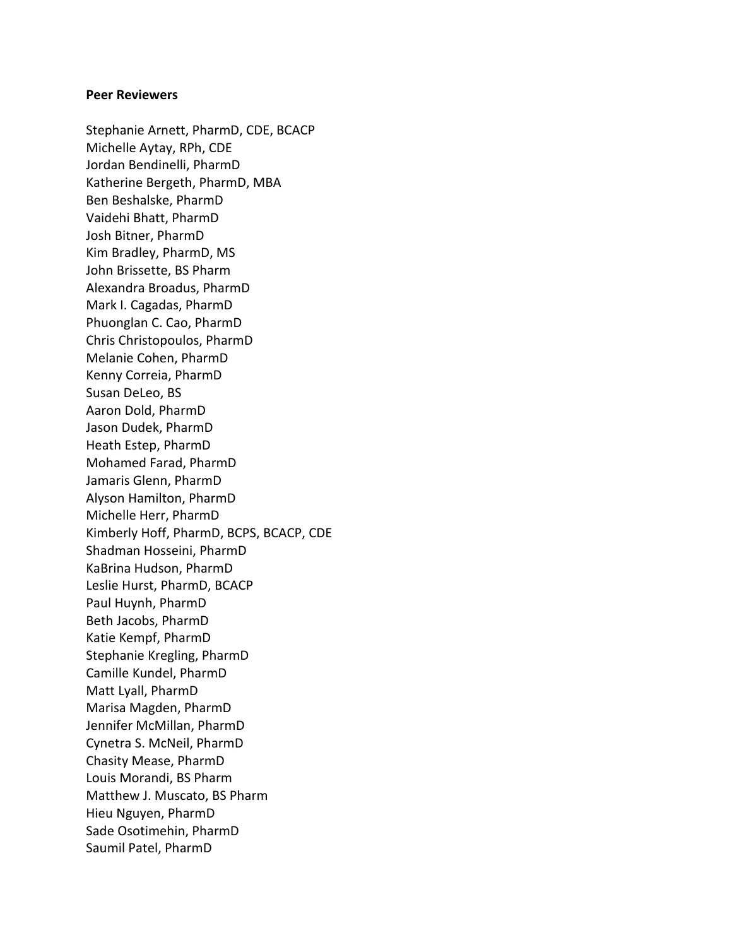## **Peer Reviewers**

Stephanie Arnett, PharmD, CDE, BCACP Michelle Aytay, RPh, CDE Jordan Bendinelli, PharmD Katherine Bergeth, PharmD, MBA Ben Beshalske, PharmD Vaidehi Bhatt, PharmD Josh Bitner, PharmD Kim Bradley, PharmD, MS John Brissette, BS Pharm Alexandra Broadus, PharmD Mark I. Cagadas, PharmD Phuonglan C. Cao, PharmD Chris Christopoulos, PharmD Melanie Cohen, PharmD Kenny Correia, PharmD Susan DeLeo, BS Aaron Dold, PharmD Jason Dudek, PharmD Heath Estep, PharmD Mohamed Farad, PharmD Jamaris Glenn, PharmD Alyson Hamilton, PharmD Michelle Herr, PharmD Kimberly Hoff, PharmD, BCPS, BCACP, CDE Shadman Hosseini, PharmD KaBrina Hudson, PharmD Leslie Hurst, PharmD, BCACP Paul Huynh, PharmD Beth Jacobs, PharmD Katie Kempf, PharmD Stephanie Kregling, PharmD Camille Kundel, PharmD Matt Lyall, PharmD Marisa Magden, PharmD Jennifer McMillan, PharmD Cynetra S. McNeil, PharmD Chasity Mease, PharmD Louis Morandi, BS Pharm Matthew J. Muscato, BS Pharm Hieu Nguyen, PharmD Sade Osotimehin, PharmD Saumil Patel, PharmD